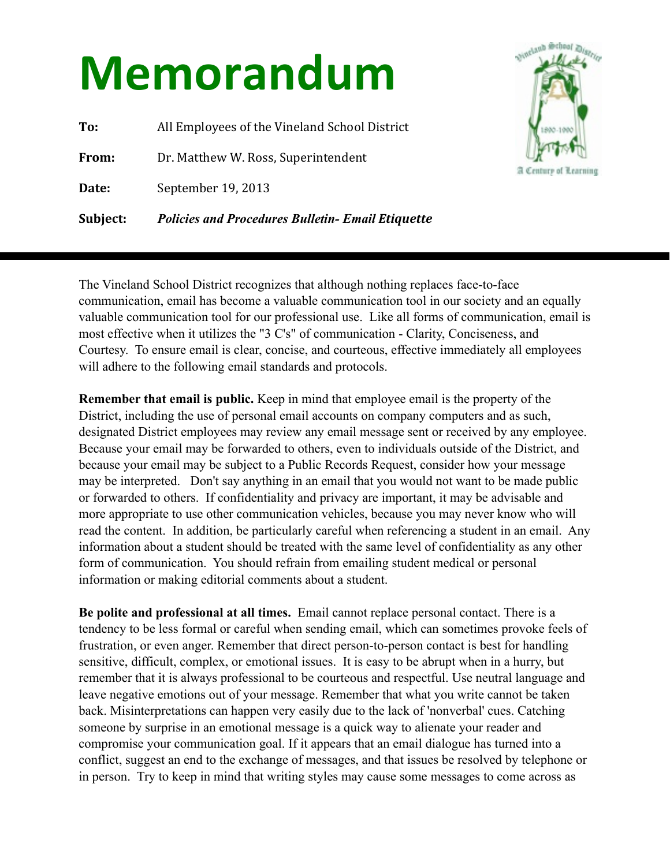## **Memorandum**

**To:** All Employees of the Vineland School District **From:** Dr. Matthew W. Ross, Superintendent Date: September 19, 2013 **Subject:** *Policies and Procedures Bulletin- Email Etiquette*



The Vineland School District recognizes that although nothing replaces face-to-face communication, email has become a valuable communication tool in our society and an equally valuable communication tool for our professional use. Like all forms of communication, email is most effective when it utilizes the "3 C's" of communication - Clarity, Conciseness, and Courtesy. To ensure email is clear, concise, and courteous, effective immediately all employees will adhere to the following email standards and protocols.

**Remember that email is public.** Keep in mind that employee email is the property of the District, including the use of personal email accounts on company computers and as such, designated District employees may review any email message sent or received by any employee. Because your email may be forwarded to others, even to individuals outside of the District, and because your email may be subject to a Public Records Request, consider how your message may be interpreted. Don't say anything in an email that you would not want to be made public or forwarded to others. If confidentiality and privacy are important, it may be advisable and more appropriate to use other communication vehicles, because you may never know who will read the content. In addition, be particularly careful when referencing a student in an email. Any information about a student should be treated with the same level of confidentiality as any other form of communication. You should refrain from emailing student medical or personal information or making editorial comments about a student.

**Be polite and professional at all times.** Email cannot replace personal contact. There is a tendency to be less formal or careful when sending email, which can sometimes provoke feels of frustration, or even anger. Remember that direct person-to-person contact is best for handling sensitive, difficult, complex, or emotional issues.It is easy to be abrupt when in a hurry, but remember that it is always professional to be courteous and respectful. Use neutral language and leave negative emotions out of your message. Remember that what you write cannot be taken back. Misinterpretations can happen very easily due to the lack of 'nonverbal' cues. Catching someone by surprise in an emotional message is a quick way to alienate your reader and compromise your communication goal. If it appears that an email dialogue has turned into a conflict, suggest an end to the exchange of messages, and that issues be resolved by telephone or in person. Try to keep in mind that writing styles may cause some messages to come across as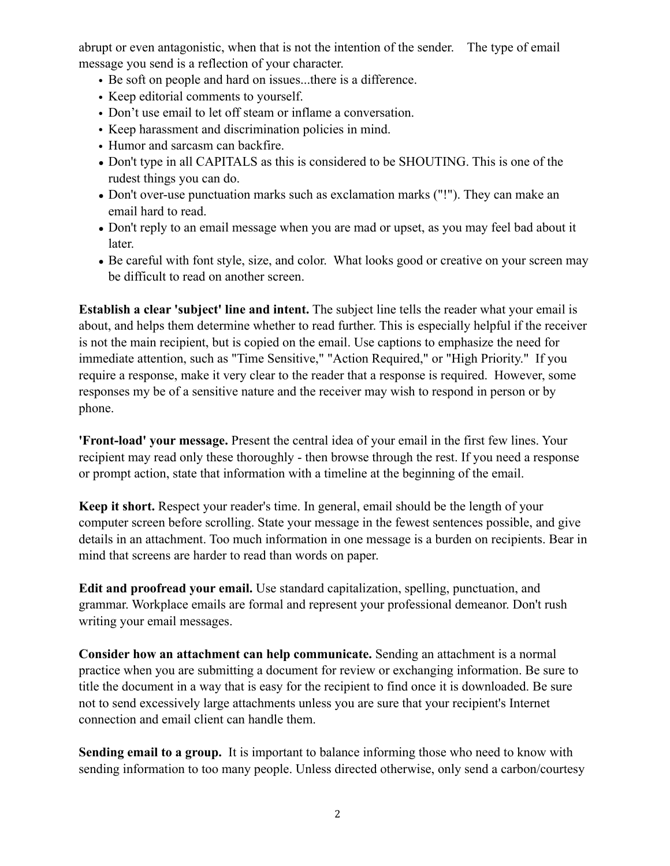abrupt or even antagonistic, when that is not the intention of the sender. The type of email message you send is a reflection of your character.

- Be soft on people and hard on issues...there is a difference.
- Keep editorial comments to yourself.
- Don't use email to let off steam or inflame a conversation.
- Keep harassment and discrimination policies in mind.
- Humor and sarcasm can backfire.
- Don't type in all CAPITALS as this is considered to be SHOUTING. This is one of the rudest things you can do.
- Don't over-use punctuation marks such as exclamation marks ("!"). They can make an email hard to read.
- Don't reply to an email message when you are mad or upset, as you may feel bad about it later.
- Be careful with font style, size, and color. What looks good or creative on your screen may be difficult to read on another screen.

**Establish a clear 'subject' line and intent.** The subject line tells the reader what your email is about, and helps them determine whether to read further. This is especially helpful if the receiver is not the main recipient, but is copied on the email. Use captions to emphasize the need for immediate attention, such as "Time Sensitive," "Action Required," or "High Priority." If you require a response, make it very clear to the reader that a response is required. However, some responses my be of a sensitive nature and the receiver may wish to respond in person or by phone.

**'Front-load' your message.** Present the central idea of your email in the first few lines. Your recipient may read only these thoroughly - then browse through the rest. If you need a response or prompt action, state that information with a timeline at the beginning of the email.

**Keep it short.** Respect your reader's time. In general, email should be the length of your computer screen before scrolling. State your message in the fewest sentences possible, and give details in an attachment. Too much information in one message is a burden on recipients. Bear in mind that screens are harder to read than words on paper.

**Edit and proofread your email.** Use standard capitalization, spelling, punctuation, and grammar. Workplace emails are formal and represent your professional demeanor. Don't rush writing your email messages.

**Consider how an attachment can help communicate.** Sending an attachment is a normal practice when you are submitting a document for review or exchanging information. Be sure to title the document in a way that is easy for the recipient to find once it is downloaded. Be sure not to send excessively large attachments unless you are sure that your recipient's Internet connection and email client can handle them.

**Sending email to a group.** It is important to balance informing those who need to know with sending information to too many people. Unless directed otherwise, only send a carbon/courtesy